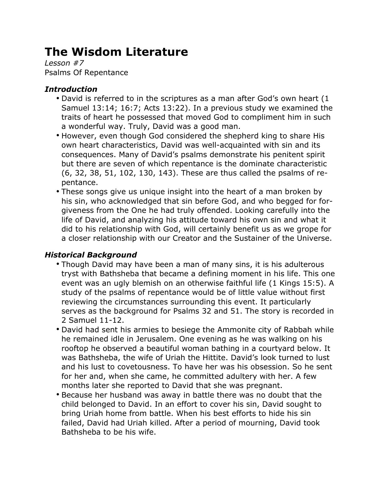# **The Wisdom Literature**

*Lesson #7* Psalms Of Repentance

## *Introduction*

- David is referred to in the scriptures as a man after God's own heart (1 Samuel 13:14; 16:7; Acts 13:22). In a previous study we examined the traits of heart he possessed that moved God to compliment him in such a wonderful way. Truly, David was a good man.
- However, even though God considered the shepherd king to share His own heart characteristics, David was well-acquainted with sin and its consequences. Many of David's psalms demonstrate his penitent spirit but there are seven of which repentance is the dominate characteristic (6, 32, 38, 51, 102, 130, 143). These are thus called the psalms of repentance.
- These songs give us unique insight into the heart of a man broken by his sin, who acknowledged that sin before God, and who begged for forgiveness from the One he had truly offended. Looking carefully into the life of David, and analyzing his attitude toward his own sin and what it did to his relationship with God, will certainly benefit us as we grope for a closer relationship with our Creator and the Sustainer of the Universe.

## *Historical Background*

- Though David may have been a man of many sins, it is his adulterous tryst with Bathsheba that became a defining moment in his life. This one event was an ugly blemish on an otherwise faithful life (1 Kings 15:5). A study of the psalms of repentance would be of little value without first reviewing the circumstances surrounding this event. It particularly serves as the background for Psalms 32 and 51. The story is recorded in 2 Samuel 11-12.
- David had sent his armies to besiege the Ammonite city of Rabbah while he remained idle in Jerusalem. One evening as he was walking on his rooftop he observed a beautiful woman bathing in a courtyard below. It was Bathsheba, the wife of Uriah the Hittite. David's look turned to lust and his lust to covetousness. To have her was his obsession. So he sent for her and, when she came, he committed adultery with her. A few months later she reported to David that she was pregnant.
- Because her husband was away in battle there was no doubt that the child belonged to David. In an effort to cover his sin, David sought to bring Uriah home from battle. When his best efforts to hide his sin failed, David had Uriah killed. After a period of mourning, David took Bathsheba to be his wife.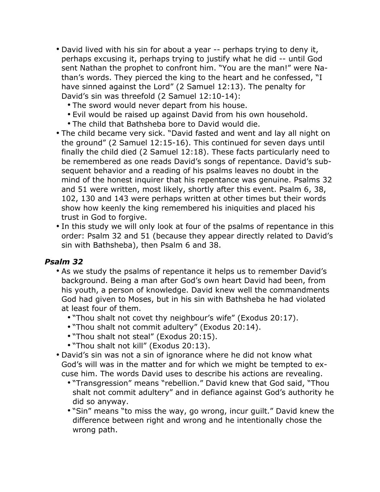- David lived with his sin for about a year -- perhaps trying to deny it, perhaps excusing it, perhaps trying to justify what he did -- until God sent Nathan the prophet to confront him. "You are the man!" were Nathan's words. They pierced the king to the heart and he confessed, "I have sinned against the Lord" (2 Samuel 12:13). The penalty for David's sin was threefold (2 Samuel 12:10-14):
	- The sword would never depart from his house.
	- Evil would be raised up against David from his own household.
	- The child that Bathsheba bore to David would die.
- The child became very sick. "David fasted and went and lay all night on the ground" (2 Samuel 12:15-16). This continued for seven days until finally the child died (2 Samuel 12:18). These facts particularly need to be remembered as one reads David's songs of repentance. David's subsequent behavior and a reading of his psalms leaves no doubt in the mind of the honest inquirer that his repentance was genuine. Psalms 32 and 51 were written, most likely, shortly after this event. Psalm 6, 38, 102, 130 and 143 were perhaps written at other times but their words show how keenly the king remembered his iniquities and placed his trust in God to forgive.
- In this study we will only look at four of the psalms of repentance in this order: Psalm 32 and 51 (because they appear directly related to David's sin with Bathsheba), then Psalm 6 and 38.

- As we study the psalms of repentance it helps us to remember David's background. Being a man after God's own heart David had been, from his youth, a person of knowledge. David knew well the commandments God had given to Moses, but in his sin with Bathsheba he had violated at least four of them.
	- "Thou shalt not covet thy neighbour's wife" (Exodus 20:17).
	- "Thou shalt not commit adultery" (Exodus 20:14).
	- "Thou shalt not steal" (Exodus 20:15).
	- "Thou shalt not kill" (Exodus 20:13).
- David's sin was not a sin of ignorance where he did not know what God's will was in the matter and for which we might be tempted to excuse him. The words David uses to describe his actions are revealing.
	- "Transgression" means "rebellion." David knew that God said, "Thou shalt not commit adultery" and in defiance against God's authority he did so anyway.
	- "Sin" means "to miss the way, go wrong, incur guilt." David knew the difference between right and wrong and he intentionally chose the wrong path.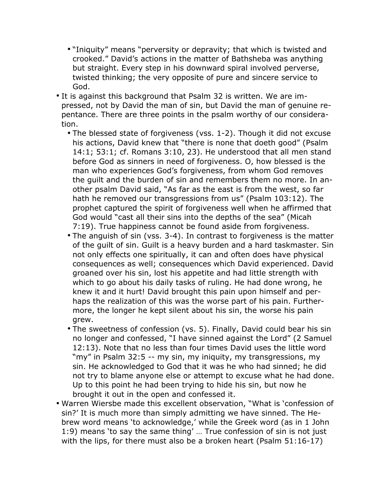- "Iniquity" means "perversity or depravity; that which is twisted and crooked." David's actions in the matter of Bathsheba was anything but straight. Every step in his downward spiral involved perverse, twisted thinking; the very opposite of pure and sincere service to God.
- It is against this background that Psalm 32 is written. We are impressed, not by David the man of sin, but David the man of genuine repentance. There are three points in the psalm worthy of our consideration.
	- The blessed state of forgiveness (vss. 1-2). Though it did not excuse his actions, David knew that "there is none that doeth good" (Psalm 14:1; 53:1; cf. Romans 3:10, 23). He understood that all men stand before God as sinners in need of forgiveness. O, how blessed is the man who experiences God's forgiveness, from whom God removes the guilt and the burden of sin and remembers them no more. In another psalm David said, "As far as the east is from the west, so far hath he removed our transgressions from us" (Psalm 103:12). The prophet captured the spirit of forgiveness well when he affirmed that God would "cast all their sins into the depths of the sea" (Micah 7:19). True happiness cannot be found aside from forgiveness.
	- The anguish of sin (vss. 3-4). In contrast to forgiveness is the matter of the guilt of sin. Guilt is a heavy burden and a hard taskmaster. Sin not only effects one spiritually, it can and often does have physical consequences as well; consequences which David experienced. David groaned over his sin, lost his appetite and had little strength with which to go about his daily tasks of ruling. He had done wrong, he knew it and it hurt! David brought this pain upon himself and perhaps the realization of this was the worse part of his pain. Furthermore, the longer he kept silent about his sin, the worse his pain grew.
	- The sweetness of confession (vs. 5). Finally, David could bear his sin no longer and confessed, "I have sinned against the Lord" (2 Samuel 12:13). Note that no less than four times David uses the little word "my" in Psalm 32:5 -- my sin, my iniquity, my transgressions, my sin. He acknowledged to God that it was he who had sinned; he did not try to blame anyone else or attempt to excuse what he had done. Up to this point he had been trying to hide his sin, but now he brought it out in the open and confessed it.
- Warren Wiersbe made this excellent observation, "What is 'confession of sin?' It is much more than simply admitting we have sinned. The Hebrew word means 'to acknowledge,' while the Greek word (as in 1 John 1:9) means 'to say the same thing' … True confession of sin is not just with the lips, for there must also be a broken heart (Psalm 51:16-17)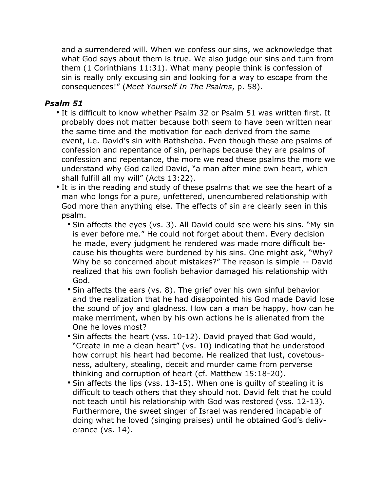and a surrendered will. When we confess our sins, we acknowledge that what God says about them is true. We also judge our sins and turn from them (1 Corinthians 11:31). What many people think is confession of sin is really only excusing sin and looking for a way to escape from the consequences!" (*Meet Yourself In The Psalms*, p. 58).

- It is difficult to know whether Psalm 32 or Psalm 51 was written first. It probably does not matter because both seem to have been written near the same time and the motivation for each derived from the same event, i.e. David's sin with Bathsheba. Even though these are psalms of confession and repentance of sin, perhaps because they are psalms of confession and repentance, the more we read these psalms the more we understand why God called David, "a man after mine own heart, which shall fulfill all my will" (Acts 13:22).
- It is in the reading and study of these psalms that we see the heart of a man who longs for a pure, unfettered, unencumbered relationship with God more than anything else. The effects of sin are clearly seen in this psalm.
	- Sin affects the eyes (vs. 3). All David could see were his sins. "My sin is ever before me." He could not forget about them. Every decision he made, every judgment he rendered was made more difficult because his thoughts were burdened by his sins. One might ask, "Why? Why be so concerned about mistakes?" The reason is simple -- David realized that his own foolish behavior damaged his relationship with God.
	- Sin affects the ears (vs. 8). The grief over his own sinful behavior and the realization that he had disappointed his God made David lose the sound of joy and gladness. How can a man be happy, how can he make merriment, when by his own actions he is alienated from the One he loves most?
	- Sin affects the heart (vss. 10-12). David prayed that God would, "Create in me a clean heart" (vs. 10) indicating that he understood how corrupt his heart had become. He realized that lust, covetousness, adultery, stealing, deceit and murder came from perverse thinking and corruption of heart (cf. Matthew 15:18-20).
	- Sin affects the lips (vss. 13-15). When one is guilty of stealing it is difficult to teach others that they should not. David felt that he could not teach until his relationship with God was restored (vss. 12-13). Furthermore, the sweet singer of Israel was rendered incapable of doing what he loved (singing praises) until he obtained God's deliverance (vs. 14).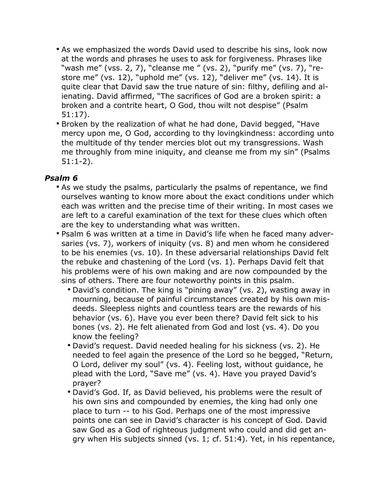- As we emphasized the words David used to describe his sins, look now at the words and phrases he uses to ask for forgiveness. Phrases like "wash me" (vss. 2, 7), "cleanse me " (vs. 2), "purify me" (vs. 7), "restore me" (vs. 12), "uphold me" (vs. 12), "deliver me" (vs. 14). It is quite clear that David saw the true nature of sin: filthy, defiling and alienating. David affirmed, "The sacrifices of God are a broken spirit: a broken and a contrite heart, O God, thou wilt not despise" (Psalm 51:17).
- Broken by the realization of what he had done, David begged, "Have mercy upon me, O God, according to thy lovingkindness: according unto the multitude of thy tender mercies blot out my transgressions. Wash me throughly from mine iniquity, and cleanse me from my sin" (Psalms 51:1-2).

- As we study the psalms, particularly the psalms of repentance, we find ourselves wanting to know more about the exact conditions under which each was written and the precise time of their writing. In most cases we are left to a careful examination of the text for these clues which often are the key to understanding what was written.
- Psalm 6 was written at a time in David's life when he faced many adversaries (vs. 7), workers of iniquity (vs. 8) and men whom he considered to be his enemies (vs. 10). In these adversarial relationships David felt the rebuke and chastening of the Lord (vs. 1). Perhaps David felt that his problems were of his own making and are now compounded by the sins of others. There are four noteworthy points in this psalm.
	- David's condition. The king is "pining away" (vs. 2), wasting away in mourning, because of painful circumstances created by his own misdeeds. Sleepless nights and countless tears are the rewards of his behavior (vs. 6). Have you ever been there? David felt sick to his bones (vs. 2). He felt alienated from God and lost (vs. 4). Do you know the feeling?
	- David's request. David needed healing for his sickness (vs. 2). He needed to feel again the presence of the Lord so he begged, "Return, O Lord, deliver my soul" (vs. 4). Feeling lost, without guidance, he plead with the Lord, "Save me" (vs. 4). Have you prayed David's prayer?
	- David's God. If, as David believed, his problems were the result of his own sins and compounded by enemies, the king had only one place to turn -- to his God. Perhaps one of the most impressive points one can see in David's character is his concept of God. David saw God as a God of righteous judgment who could and did get angry when His subjects sinned (vs. 1; cf. 51:4). Yet, in his repentance,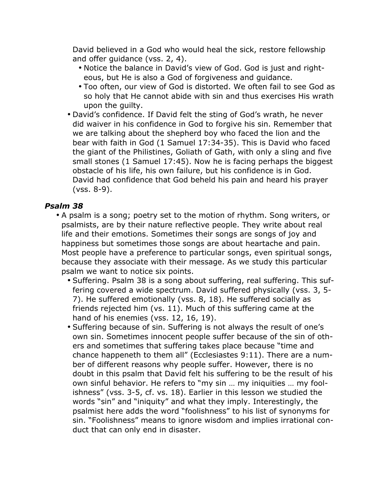David believed in a God who would heal the sick, restore fellowship and offer guidance (vss. 2, 4).

- Notice the balance in David's view of God. God is just and righteous, but He is also a God of forgiveness and guidance.
- Too often, our view of God is distorted. We often fail to see God as so holy that He cannot abide with sin and thus exercises His wrath upon the guilty.
- David's confidence. If David felt the sting of God's wrath, he never did waiver in his confidence in God to forgive his sin. Remember that we are talking about the shepherd boy who faced the lion and the bear with faith in God (1 Samuel 17:34-35). This is David who faced the giant of the Philistines, Goliath of Gath, with only a sling and five small stones (1 Samuel 17:45). Now he is facing perhaps the biggest obstacle of his life, his own failure, but his confidence is in God. David had confidence that God beheld his pain and heard his prayer (vss. 8-9).

- A psalm is a song; poetry set to the motion of rhythm. Song writers, or psalmists, are by their nature reflective people. They write about real life and their emotions. Sometimes their songs are songs of joy and happiness but sometimes those songs are about heartache and pain. Most people have a preference to particular songs, even spiritual songs, because they associate with their message. As we study this particular psalm we want to notice six points.
	- Suffering. Psalm 38 is a song about suffering, real suffering. This suffering covered a wide spectrum. David suffered physically (vss. 3, 5- 7). He suffered emotionally (vss. 8, 18). He suffered socially as friends rejected him (vs. 11). Much of this suffering came at the hand of his enemies (vss. 12, 16, 19).
	- Suffering because of sin. Suffering is not always the result of one's own sin. Sometimes innocent people suffer because of the sin of others and sometimes that suffering takes place because "time and chance happeneth to them all" (Ecclesiastes 9:11). There are a number of different reasons why people suffer. However, there is no doubt in this psalm that David felt his suffering to be the result of his own sinful behavior. He refers to "my sin … my iniquities … my foolishness" (vss. 3-5, cf. vs. 18). Earlier in this lesson we studied the words "sin" and "iniquity" and what they imply. Interestingly, the psalmist here adds the word "foolishness" to his list of synonyms for sin. "Foolishness" means to ignore wisdom and implies irrational conduct that can only end in disaster.